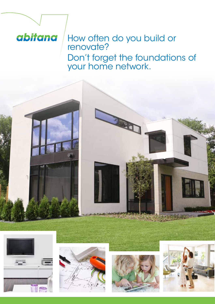# abitana

## How often do you build or renovate? Don't forget the foundations of your home network.









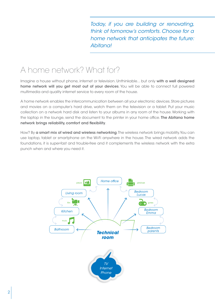*Today, if you are building or renovating, think of tomorrow's comforts. Choose for a home network that anticipates the future: Abitana!*

## A home network? What for?

Imagine a house without phone, internet or television. Unthinkable... but only with a well designed home network will you get most out of your devices. You will be able to connect full powered multimedia and quality internet service to every room of the house.

A home network enables the intercommunication between all your electronic devices. Store pictures and movies on a computer's hard drive, watch them on the television or a tablet. Put your music collection on a network hard disk and listen to your albums in any room of the house. Working with the laptop in the lounge, send the document to the printer in your home office. The Abitana home network brings reliability, comfort and flexibility.

How? By a smart mix of wired and wireless networking. The wireless network brings mobility. You can use laptop, tablet or smartphone on the Wi-Fi anywhere in the house. The wired network adds the foundations, it is super-fast and trouble-free and it complements the wireless network with the extra punch when and where you need it.

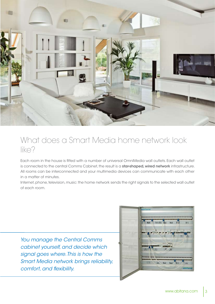

### What does a Smart Media home network look like?

Each room in the house is fitted with a number of universal OmniMedia wall outlets. Each wall outlet is connected to the central Comms Cabinet, the result is a star-shaped, wired network infrastructure. All rooms can be interconnected and your multimedia devices can communicate with each other in a matter of minutes.

Internet, phone, television, music: the home network sends the right signals to the selected wall outlet of each room.

*You manage the Central Comms cabinet yourself, and decide which signal goes where. This is how the Smart Media network brings reliability, comfort, and flexibility.*

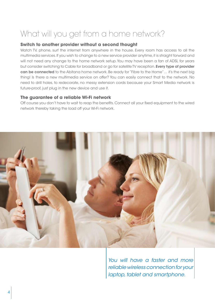# What will you get from a home network?

#### **Switch to another provider without a second thought**

Watch TV, phone, surf the internet from anywhere in the house. Every room has access to all the multimedia services. If you wish to change to a new service provider anytime, it is straight forward and will not need any change to the home network setup. You may have been a fan of ADSL for years but consider switching to Cable for broadband or go for satellite TV reception. Every type of provider can be connected to the Abitana home network. Be ready for "Fibre to the Home"... it's the next big thing! Is there a new multimedia service on offer? You can easily connect that to the network. No need to drill holes, to redecorate, no messy extension cords because your Smart Media network is future-proof, just plug in the new device and use it.

#### **The guarantee of a reliable Wi-Fi network**

Off course you don't have to wait to reap the benefits. Connect all your fixed equipment to the wired network thereby taking the load off your Wi-Fi network.



*You will have a faster and more reliable wireless connection for your laptop, tablet and smartphone.*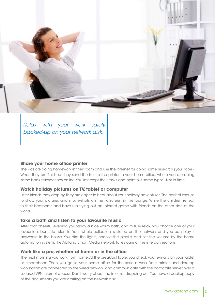

*Relax with your work safely backed-up on your network disk.*

#### **Share your home office printer**

The kids are doing homework in their room and use the internet for doing some research (you hope). When they are finished, they send the files to the printer in your home office, where you are doing some bank transactions online. You intercept their tasks and point out some typos. Just in time.

#### **Watch holiday pictures on TV, tablet or computer**

Later friends may drop by. They are eager to hear about your holiday adventures. The perfect excuse to show your pictures and movie-shots on the flatscreen in the lounge. While the children retreat to their bedrooms and have fun trying out an internet game with friends on the other side of the world.

#### **Take a bath and listen to your favourite music**

After that cheerful evening you fancy a nice warm bath, and to fully relax, you choose one of your favourite albums to listen to. Your whole collection is stored on the network and you can play it anywhere in the house. You dim the lights, choose the playlist and set the volume by the home automation system. The Abitana Smart Media network takes care of the interconnections.

#### **Work like a pro, whether at home or in the office**

The next morning you work from home. At the breakfast table, you check your e-mails on your tablet or smartphone. Then you go to your home office for the serious work. Your printer and desktop workstation are connected to the wired network, and communicate with the corporate server over a secured VPN internet access. Don't worry about the internet dropping out. You have a backup copy of the documents you are drafting on the network disk.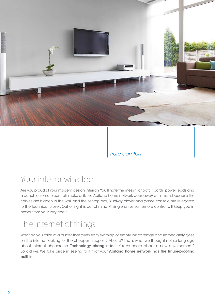

*Pure comfort.*

### Your interior wins too

Are you proud of your modern design interior? You'll hate the mess that patch cords, power leads and a bunch of remote controls make of it. The Abitana home network does away with them, because the cables are hidden in the wall and the set-top box, BlueRay player and game console are relegated to the technical closet. Out of sight is out of mind. A single universal remote control will keep you in power from your lazy chair.

## The internet of things

What do you think of a printer that gives early warning of empty ink cartridge and immediately goes on the internet looking for the cheapest supplier? Absurd? That's what we thought not so long ago about internet phones too. Technology changes fast. You've heard about a new development? So did we. We take pride in seeing to it that your Abitana home network has the future-proofing built-in.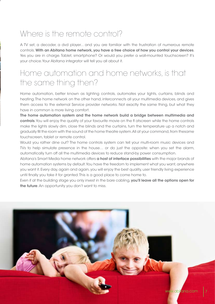# Where is the remote control?

A TV set, a decoder, a dvd player... and you are familiar with the frustration of numerous remote controls. With an Abitana home network, you have a free choice of how you control your devices. Yes you are in charge. Tablet, smartphone? Or would you prefer a wall-mounted touchscreen? It's your choice. Your Abitana integrator will tell you all about it.

### Home automation and home networks, is that the same thing then?

Home automation, better known as lighting controls, automates your lights, curtains, blinds and heating. The home network on the other hand, interconnects all your multimedia devices, and gives them access to the external Service provider networks. Not exactly the same thing, but what they have in common is more living comfort.

The home automation system and the home network build a bridge between multimedia and controls. You will enjoy the quality of your favourite movie on the fl atscreen while the home controls make the lights slowly dim, close the blinds and the curtains, turn the temperature up a notch and gradually fill the room with the sound of the home theatre system. All at your command, from thesame touchscreen, tablet or remote control.

Would you rather dine out? The home controls system can tell your multi-room music devices and TVs to help simulate presence in the house… or do just the opposite: when you set the alarm, automatically turn off all the multimedia devices to reduce stand-by power consumption.

Abitana's Smart Media home network offers a host of interface possibilities with the major brands of home automation systems by default. You have the freedom to implement what you want, anywhere you want it. Every day, again and again, you will enjoy the best quality, user friendly living experience until finally you take it for granted. This is a good place to come home to.

Even if at the building stage you only invest in the bare cabling, you'll leave all the options open for the future. An opportunity you don't want to miss.

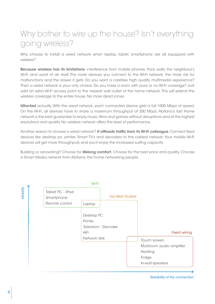## Why bother to wire up the house? Isn't everything going wireless?

Why choose to install a wired network when laptop, tablet, smartphone are all equipped with wireless?

Because wireless has its limitations: interference from mobile phones, thick walls, the neighbour's Wi-Fi, and worst of all, itself. The more devices you connect to the Wi-Fi network, the more risk for malfunctions and the slower it gets. Do you want a carefree high quality multimedia experience? Then a wired network is your only choice. Do you have a room with poor or no Wi-Fi coverage? Just add an extra Wi-Fi access point to the nearest wall outlet of the home network. This will extend the wireless coverage to the entire house. No more dead zones.

Ultra-fast actually. With the wired network, each connected device gets a full 1000 Mbps of speed. On the Wi-Fi, all devices have to share a maximum throughput of 200 Mbps. Abitana's fast Home network is the best guarantee to enjoy music, films and games without disruptions and at the highest resolutions and quality. No wireless network offers this level of performance.

Another reason to choose a wired network? It offloads traffic from its Wi-Fi colleague. Connect fixed devices like desktop pc, printer, Smart TV's and decoders to the cabled network. Your mobile Wi-Fi devices will get more throughputs and you'll enjoy the increased surfing capacity.

Building or renovating? Choose for lifelong comfort. Choose for the best price and quality. Choose a Smart Media network from Abitana, the home networking people.



Reliability of the connection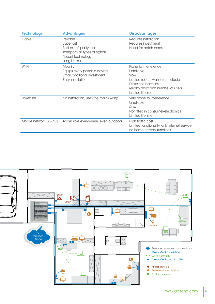| <b>Technology</b>      | <b>Advantages</b>                                                                                                          | <b>Disadvantages</b>                                                                                                                                                |
|------------------------|----------------------------------------------------------------------------------------------------------------------------|---------------------------------------------------------------------------------------------------------------------------------------------------------------------|
| Cable                  | Reliable<br>Superfast<br>Best price/quality ratio<br>Transports all types of signals<br>Robust technology<br>Long lifetime | Requires installation<br>Requires investment<br>Need for patch cords                                                                                                |
| Wi-Fi                  | <b>Mobility</b><br>Equips every portable device<br>Small additional investment<br>Easy installation                        | Prone to interference<br>Unreliable<br>Slow<br>Limited reach, walls are obstacles<br>Drains the batteries<br>Quality drops with number of users<br>Limited lifetime |
| Powerline              | No installation, uses the mains wiring                                                                                     | Very prone to interference<br>Unreliable<br>Slow<br>Not fitted in consumer-electronics<br>Limited lifetime                                                          |
| Mobile network (3G-4G) | Accessible everywhere, even outdoors                                                                                       | High traffic cost<br>Limited functionality, only internet service,<br>no home network functions                                                                     |

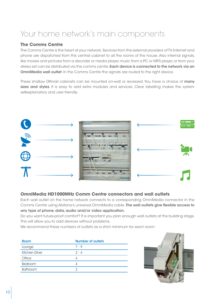# Your home network's main components

#### **The Comms Centre**

The Comms Centre is the heart of your network. Services from the external providers of TV, Internet and phone are dispatched from this central cabinet to all the rooms of the house. Also internal signals, like movies and pictures from a decoder or media player, music from a PC or MP3 player, or from your stereo set can be distributed via the comms centre. **Each device is connected to the network via an OmniMedia wall outlet.** In the Comms Centre the signals are routed to the right device.

These shallow DIN-rail cabinets can be mounted on-wall or recessed. You have a choice of many sizes and styles. It is easy to add extra modules and services. Clear labelling makes the system selfexplanatory and user friendly.



### **OmniMedia HD1000MHz Comm Centre connectors and wall outlets**

Each wall outlet on the home network connects to a corresponding OmniMedia connector in the Comms Centre using Abitana's universal OmniMedia cable. The wall outlets give flexible access to any type of phone, data, audio and/or video application.

Do you want future-proof comfort? It is important you plan enough wall outlets at the building stage. This will allow you to add devices without problems.

We recommend these numbers of outlets as a strict minimum for each room:

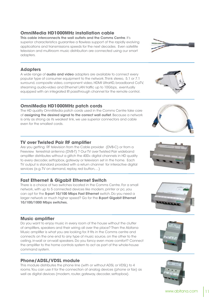### **OmniMedia HD1000MHz installation cable**

This cable interconnects the wall outlets and the Comms Centre. It's superior characteristics guarantee a flawless support of the rapidly evolving applications and transmissions speeds for the next decades. Even satellite television and multiroom music distribution are connected using our smart adapters.

### **Adapters**

A wide range of **audio and video** adapters are available to connect every popular type of consumer equipment to the network. Think stereo, 5.1 or 7.1 surround, composite video, component video, HDMI UltraHD, broadband CaTV, streaming audio-video and Ethernet LAN traffic up to 10Gbps, eventually equipped with an integrated IR passthrough channel for the remote control.

### **OmniMedia HD1000MHz patch cords**

The HD quality OmniMedia patch cords used in the Comms Centre take care of assigning the desired signal to the correct wall outlet. Because a network is only as strong as its weakest link, we use superior connectors and cable even for the smallest cords.

### **TV over Twisted Pair RF amplifier**

Are you getting RF television from the Cable provider (DVB-C) or from a Freeview terrestrial antenna (DVB-T) ? Our TV over Twisted Pair wideband amplifier distributes without a glitch the 400+ digital channels in HD quality to every decoder, settopbox, gateway or television set in the home. Each TV output is standard provided with a return channel for interactive digital services (e.g. TV on demand, replay, red button,...)

### **Fast Ethernet & Gigabit Ethernet Switch**

There is a choice of two switches located in the Comms Centre. For a small network, with up to 5 connected devices like modem, printer or pc, you can opt for the 5-port 10/100 Mbps Fast Ethernet switch. Do you need a larger network or much higher speed? Go for the 8-port Gigabit Ethernet 10/100/1000 Mbps switches.

#### **Music amplifier**

Do you want to enjoy music in every room of the house without the clutter of amplifiers, speakers and their wiring all over the place? Then the Abitana Music amplifier is what you are looking for. It fits in the Comms centre and connects on the one end to any type of music source, on the other to the ceiling, in-wall or on-wall speakers. Do you fancy even more comfort? Connect the amplifier to the home controls system to act as part of the whole-house command system.

#### **Phone/ADSL/VDSL module**

This module distributes the phone line (with or without ADSL or VDSL) to 4 rooms. You can use it for the connection of analog devices (phone or fax) as well as digital devices (modem, router, gateway, decoder, settopbox).